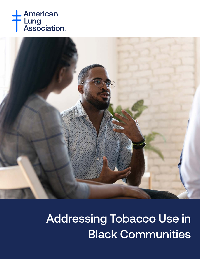



Addressing Tobacco Use in Black Communities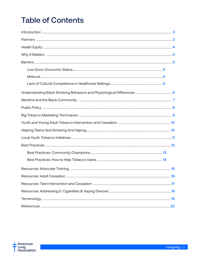# **Table of Contents**

| 16 |
|----|
|    |
|    |
|    |
|    |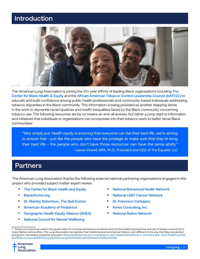## <span id="page-2-0"></span>Introduction



The American Lung Association is joining the 20+ year efforts of leading Black organizations including [The](https://centerforblackhealth.org/)  [Center for Black Health & Equity](https://centerforblackhealth.org/) and the [African American Tobacco Control Leadership Council \(AATCLC\)](https://www.savingblacklives.org/) to educate and build confidence among public health professionals and community-based individuals addressing tobacco disparities in the Black community. This information is being provided as another stepping stone in the work to dismantle racial injustices and health inequalities faced by the Black community concerning tobacco use. The following resources are by no means an end-all answer, but rather a jump start to information and initiatives that individuals or organizations can incorporate into their tobacco work to better serve Black communities.1

*"Very simply put, health equity is ensuring that everyone can live their best life…we're aiming to ensure that - just like the people who have the privilege to make sure that they're living their best life – the people who don't have those resources can have the same ability."* - Lauren Powell, MPA, Ph.D., President and CEO of The Equalist, LLC

### Partners

The American Lung Association thanks the following external national partnering organizations engaged in this project who provided subject matter expert review:

- [The Center for Black Health and Equity](https://centerforblackhealth.org/)
- [BlackDoctor.org](https://blackdoctor.org/)
- [Dr. Stanley Robertson, The Quit Doctor](https://stanleygrobertson.com/)
- [American Academy of Pediatrics](https://www.aap.org/)
- [Geographic Health Equity Alliance \(GHEA\)](https://www.geohealthequity.org/)
- [National Council for Mental Wellbeing](https://www.thenationalcouncil.org/)
- [National Behavioral Health Network](https://www.bhthechange.org/)
- **National I GBT Cancer Network**
- [Dr. Francisco Cartujano](https://www.linkedin.com/in/francisco-cartujano-barrera-md-9422ab1b7/)
- [Keres Consulting, Inc.](https://www.keresnm.com/)
- [National Native Network](https://keepitsacred.itcmi.org/)

*<sup>1</sup> Tobacco products as used in this guide refers to commercial tobacco products and not the traditional practices and use of tobacco practiced in many Native communities. The Lung Association recognizes that traditional and commercial tobacco are different in the way that they are planted and grown, harvested, prepared, and used. [https://keepitsacred.itcmi.org/tobacco-and-tradition/traditional-v-commercial/#:~:text=Traditional%20](https://keepitsacred.itcmi.org/tobacco-and-tradition/traditional-v-commercial/#:~:text=Traditional%20and%20commercial%20tobacco%20are,using%20traditional%20tobacco%20at%20all) [and%20commercial%20tobacco%20are,using%20traditional%20tobacco%20at%20all](https://keepitsacred.itcmi.org/tobacco-and-tradition/traditional-v-commercial/#:~:text=Traditional%20and%20commercial%20tobacco%20are,using%20traditional%20tobacco%20at%20all).*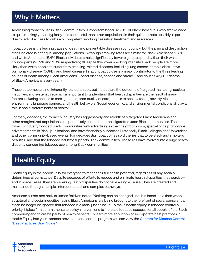## <span id="page-3-0"></span>Why It Matters

Addressing tobacco use in Black communities is important because 73% of Black individuals who smoke want to quit smoking; yet are typically less successful than other populations in their quit attempts possibly in part due to lack of access to culturally competent smoking cessation treatment and resources.<sup>i</sup>

Tobacco use is the leading cause of death and preventable disease in our country, but the pain and destruction it has inflicted is not equal among populations.<sup>ii</sup> Although smoking rates are similar for Black Americans 13.3% and white Americans 15.4% Black individuals smoke significantly fewer cigarettes per day than their white counterparts (98.2% and 13.1% respectively). iiiDespite this lower smoking intensity, Black people are more likely than white people to suffer from smoking-related diseases, including lung cancer, chronic obstructive pulmonary disease (COPD), and heart disease. In fact, tobacco use is a major contributor to the three leading causes of death among Black Americans – heart disease, cancer, and stroke – and causes 45,000 deaths of Black Americans every year. iv

These outcomes are not inherently related to race, but instead are the outcome of targeted marketing, societal inequities, and systemic racism. It is important to understand that health disparities are the result of many factors including access to care, genetics, poor quality of care, access to healthy foods, poverty, violence, environment, language barriers, and health behaviors. Social, economic, and environmental conditions all play a role in social determinants of health.<sup>v</sup>

For many decades, the tobacco industry has aggressively and relentlessly targeted Black Americans and other marginalized populations and particularly pushed menthol cigarettes upon Black communities. The tobacco industry flooded Black communities with advertising in their neighborhoods, special price promotions, advertisements in Black publications, and have financially supported Historically Black Colleges and Universities and other community-based events. For decades Big Tobacco has sold the lies that to be Black and smoke is beautiful, and that the tobacco industry supports Black communities. These lies have evolved into a huge health disparity concerning tobacco use among Black communities.

## Health Equity

Health equity is the opportunity for everyone to reach their full health potential, regardless of any socially determined circumstance. Despite decades of efforts to reduce and eliminate health disparities, they persist and in some cases, they are widening. Such disparities do not have a single cause. They are created and maintained through multiple, interconnected, and complex pathways.

American author and activist James Baldwin noted "Nothing can be changed until it is faced*."* In a time when structural and social inequities facing Black Americans are being brought to the forefront of social conscience, it can no longer be ignored that tobacco is a racial justice issue. To make health equity in tobacco control a priority it takes firm commitments to policy interventions to increase tobacco success for all people of the Black community and to create parity of health benefits. To learn more about how to incorporate best practices in Health Equity into your tobacco prevention and control program you can view the Centers for Disease Control ["Best Practices User Guide](https://www.cdc.gov/tobacco/stateandcommunity/best-practices-health-equity/pdfs/bp-health-equity.pdf)."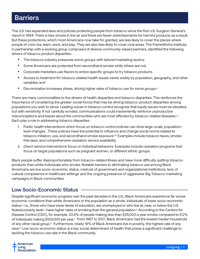## <span id="page-4-0"></span>**Barriers**

The U.S. has expanded laws and policies protecting people from tobacco since the first U.S. Surgeon General's report in 1964. There is less smoke in the air and there are fewer advertisements for harmful products as a result. But these protections, which most Americans now take for granted, are less likely to cover the places where people of color live, learn, work, and play. They are also less likely to cover rural areas. The FrameWorks Institute, in partnership with a working group composed of diverse community-based partners, identified the following drivers of tobacco product disparities:

- The tobacco industry pressures some groups with tailored marketing tactics;
- Some Americans are protected from secondhand smoke while others are not;
- Corporate marketers use flavors to entice specific groups to try tobacco products
- Access to treatment for tobacco-related health issues varies widely by population, geography, and other variables; and
- Discrimination increases stress, driving higher rates of tobacco use for some groups.vi

There are many commonalities to the drivers of health disparities and tobacco disparities. This reinforces the importance of considering the greater social forces that may be driving tobacco-product disparities among populations you wish to serve. Leading voices in tobacco control recognize that equity issues must be elevated, but with sensitivity. If not carefully worded, communications could inadvertently reinforce unproductive misconceptions and biases about the communities who are most affected by tobacco-related diseases. vii Each play a role in addressing tobacco disparities.

- 1. Public health interventions which focus on tobacco control *policies* can drive large-scale, populationlevel changes. These policies have the potential to influence and change social norms related to tobacco initiation, use, and secondhand smoke exposure.viii Examples include tobacco taxes, smokefree laws, and comprehensive cessation service availability.
- *2. Direct-service interventions* focus on individual behaviors. Examples include cessation programs that focus on target populations such as pregnant women, or different ethnic groups.

Black people suffer disproportionately from tobacco-related illness and have more difficulty quitting tobacco products than white individuals who smoke. Notable barriers to eliminating tobacco use among Black Americans are low socio-economic status, mistrust of government and organizational institutions, lack of cultural competence in healthcare settings and the ongoing presence of aggressive Big Tobacco marketing campaigns in Black communities.

### Low Socio-Economic Status

Despite significant economic progress over the past decades in the U.S., Black Americans experience far worse economic conditions than white Americans or the population as a whole. Individuals of lower socio-economic status—i.e., those who have lower levels of education, are unemployed or who live at, near, or below the U.S. federal poverty level—have higher rates of smoking than the general population.<sup>ix</sup> According to the Centers for Disease Control (CDC), for example, 20.4% of people making less than \$35,000 a year smoke compared to 6.2% of individuals making \$100,000 per year.x From 1967 to 2017, Black Americans had the lowest median household of any other racial group.<sup>xi</sup> Furthermore, nearly 19% of Black Americans live in poverty, the highest rate of any race.<sup>xii</sup> Low socio-economic status is a key social determinant of health that poses a significant challenge to tackling the tobacco use rate in the Black community.

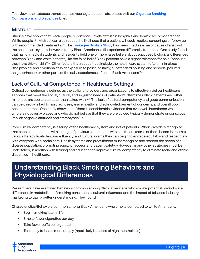<span id="page-5-0"></span>To review other tobacco trends such as race, age, location, etc. please visit our Cigarette Smoking [Comparisons and Disparities](https://www.lung.org/research/trends-in-lung-disease/tobacco-trends-brief/cigarette-smoking-comparisons) brief.

### Mistrust

Studies have shown that Black people report lower levels of trust in hospitals and healthcare providers than White people.xiii Mistrust can also reduce the likelihood that a patient will seek medical screenings or follow up with recommended treatments.<sup>xiv</sup> The [Tuskegee Syphilis Study](https://www.cdc.gov/tuskegee/timeline.htm) has been cited as a major cause of mistrust in the health care system; however, today Black Americans still experience differential treatment. One study found that half of medical students and residents held one or more false beliefs about supposed biological differences between Black and white patients, like the false belief Black patients have a higher tolerance for pain "because they have thicker skin."xv Other factors that reduce trust include the health care system often minimalizes "the physical and emotional tolls of exposure to police brutality; substandard housing and schools; polluted neighborhoods; or other parts of the daily experiences of some Black Americans."xvi

### Lack of Cultural Competence in Healthcare Settings

Cultural competence is defined as the ability of providers and organizations to effectively deliver healthcare services that meet the social, cultural, and linguistic needs of patients.xvii Oftentimes Black patients and other minorities are spoken to rather than talked with. xviii The lack of cultural competency and good communication can be directly linked to misdiagnoses, less empathy and acknowledgement of concerns, and overall poor health outcomes. One study shows that "there is considerable evidence that even well-intentioned whites who are not overtly biased and who do not believe that they are prejudiced typically demonstrate unconscious implicit negative attitudes and stereotypes."xix

Poor cultural competency is a failing of the healthcare system and not of patients. When providers recognize that each patient comes with a range of previous experiences with healthcare (some of them based in trauma), various literacy levels, language fluency, and cultural norms they can begin to engage equitably and respectfully with everyone who seeks care. Health systems and practitioners must recognize and respect the needs of a diverse population, promoting equity of access and patient safety.<sup>xx</sup> However, many other strategies must be undertaken, in addition with training and education to improve cultural competency to eliminate racial and ethnic disparities in healthcare.

## Understanding Black Smoking Behaviors and Physiological Differences

Researchers have examined behaviors common among Black Americans who smoke, potential physiological differences in metabolism of smoking constituents, cultural influences, and the impact of tobacco industry marketing to gain a better understanding. They found:

Characteristics/Behaviors common among Black Americans who smoke compared to white Americans:

- Begin smoking later in life
- Smoke fewer cigarettes per day
- Take fewer puffs per cigarette
- Tendency to inhale more deeply (most likely because of high menthol use)

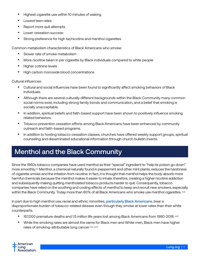- <span id="page-6-0"></span>• Highest cigarette use within 10 minutes of waking
- Lowest teen rates
- Report more quit attempts
- Lower cessation success
- Strong preference for high tar/nicotine and menthol cigarettes

Common metabolism characteristics of Black Americans who smoke:

- Slower rate of smoke metabolism
- More nicotine taken in per cigarette by Black individuals compared to white people
- Higher cotinine levels
- High carbon monoxide blood concentrations

Cultural influences:

- Cultural and social influences have been found to significantly affect smoking behaviors of Black individuals.
- Although there are several culturally different backgrounds within the Black Community many common social norms exist, including strong family bonds and communication, and a belief that smoking is socially unacceptable.
- In addition, spiritual beliefs and faith-based support have been shown to positively influence smoking related behaviors.
- Tobacco prevention cessation efforts among Black Americans have been enhanced by community outreach and faith-based programs.
- In addition to hosting tobacco cessation classes, churches have offered weekly support groups, spiritual counseling and disseminated educational information through church bulletin inserts.

## Menthol and the Black Community

Since the 1960s tobacco companies have used menthol as their "special" ingredient to "help its poison go down" more smoothly.xxi Menthol, a chemical naturally found in peppermint and other mint plants, reduces the harshness of cigarette smoke and the irritation from nicotine. In fact, it is thought that menthol helps the body absorb more harmful chemicals because the menthol makes it easier to inhale; therefore, creating a higher nicotine addiction and subsequently making quitting mentholated tobacco products harder to quit. Consequently, tobacco companies have relied on the soothing and cooling effects of menthol to keep and recruit new smokers, especially within the Black Community. Today more than 80% of all Black Americans who smoke use menthol cigarettes. xxii

In part due to high menthol use, racial and ethnic minorities, [particularly Black Americans](https://www.lung.org/our-initiatives/research/lung-health-disparities/lung-cancer-in-african-americans.html), bear a disproportionate burden of tobacco-related disease even though they smoke at lower rates than their white counterparts.

- 157,000 premature deaths and 1.5 million life years lost among Black Americans from 1980-2018. xxiii
- While the smoking rates are almost the same for Black men and White men, Black men have higher rates of smoking-attributable lung cancer.xxiv, xxvi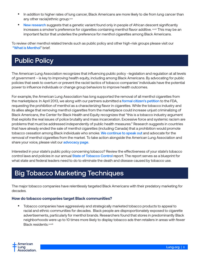- <span id="page-7-0"></span>• In addition to higher rates of lung cancer, Black Americans are more likely to die from lung cancer than any other racial/ethnic group.xxv
- [New research](https://www.nih.gov/news-events/news-releases/researchers-find-genetic-vulnerability-menthol-cigarette-use) suggests that a genetic variant found only in people of African descent significantly increases a smoker's preference for cigarettes containing menthol flavor additive. *xxvii* This may be an important factor that underlies the preference for menthol cigarettes among Black Americans.

To review other menthol related trends such as public policy and other high-risk groups please visit our ["What is Menthol](https://www.lung.org/quit-smoking/smoking-facts/health-effects/what-is-menthol)" brief.

## Public Policy

The American Lung Association recognizes that influencing public policy –legislation and regulation at all levels of government – is key to improving health equity, including among Black Americans. By advocating for public policies that seek to overturn or prevent the racist tactics of tobacco companies' individuals have the potential power to influence individuals or change group behaviors to improve health outcomes.

For example, the American Lung Association has long supported the removal of all menthol cigarettes from the marketplace. In April 2013, we along with our partners submitted a [formal citizen's petition](https://www.publichealthlawcenter.org/sites/default/files/resources/tclc-fdacitizenpetition-menthol-2013.pdf) to the FDA, requesting the prohibition of menthol as a characterizing flavor in cigarettes. While the tobacco industry and its allies allege that removing menthol cigarettes from the marketplace could increase unjust criminalizing of Black Americans, the Center for Black Health and Equity recognizes that "this is a tobacco industry argument that exploits the real issues of police brutality and mass incarceration. Excessive force and systemic racism are problems that must be addressed independently of public health measures." Research suggests in countries that have already ended the sale of menthol cigarettes (including Canada) that a prohibition would promote tobacco cessation among Black individuals who smoke. [We continue to speak out](https://www.lung.org/getmedia/0a9d6cc2-0db0-4dd0-a6d4-df6a2c841b15/ala-comments-fda-re-flavors-anprm.pdf.pdf) and advocate for the removal of menthol cigarettes from the market. To take action alongside the American Lung Association and share your voice, please visit our [advocacy page](https://www.lung.org/policy-advocacy/take-action).

Interested in your state's public policy concerning tobacco? Review the effectiveness of your state's tobacco control laws and policies in our annual [State of Tobacco Control](https://www.lung.org/research/sotc) report. The report serves as a blueprint for what state and federal leaders need to do to eliminate the death and disease caused by tobacco use.

## Big Tobacco Marketing Techniques

The major tobacco companies have relentlessly targeted Black Americans with their predatory marketing for decades.

### **How do tobacco companies target Black communities?**

• Tobacco companies have aggressively and strategically marketed tobacco products to appeal to racial and ethnic communities for decades. Black people are disproportionately exposed to cigarette advertisements, particularly for menthol brands. Researchers found that stores in predominantly Black neighborhoods were up to 10 times more likely to display tobacco ads then retailers in areas with fewer **Black residents.**xxviii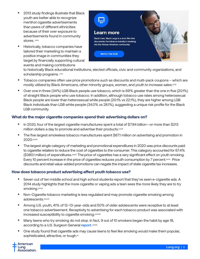- 2013 study findings illustrate that Black youth are better able to recognize menthol cigarette advertisements than peers of different ethnicities because of their over exposure to advertisements found in community stores. **xxix**
- Historically, tobacco companies have tailored their marketing to maintain a positive image in communities they target by financially supporting cultural events and making contributions



to historically Black educational institutions, elected officials, civic and community organizations, and scholarship programs. xxx

- Tobacco companies often use price promotions such as discounts and multi-pack coupons which are mostly utilized by Black Americans, other minority groups, women, and youth to increase sales.xxxi
- Over one in three (34%) LGB Black people use tobacco, which is 69% greater than the one in five (20.1%) of straight Black people who use tobacco. In addition, although tobacco use rates among heterosexual Black people are lower than heterosexual white people (20.1% vs 22.1%), they are higher among LGB Black individuals than LGB white people (34.0% vs 28.1%), suggesting a unique risk profile for the Black LGB community.

### **What do the major cigarette companies spend their advertising dollars on?**

- In 2020, four of the largest cigarette manufactures spent a total of \$7.84 billion—or more than \$213 million dollars a day to promote and advertise their products.xxxii
- The five largest smokeless tobacco manufactures spent \$67.1 million on advertising and promotion in 2020.xxxiii
- The largest single category of marketing and promotional expenditures in 2020 was price discounts paid to cigarette retailers to reduce the cost of cigarettes to the consumer. This category accounted for 67.4% (\$380.1 million) of expenditures.xxxiv The price of cigarettes has a very significant effect on youth smoking. Every 10 percent increase in the price of cigarettes reduces youth consumption by 7 percent.xxxv Price discounts and retail value-added promotions can negate the impact of state cigarette tax increases.

### **How does tobacco product advertising affect youth tobacco use?**

- Seven out of ten middle school and high school students report that they've seen e-cigarette ads. A 2014 study highlights that the more cigarette or vaping ads a teen sees the more likely they are to try smoking.xxxvi
- Non-Cigarette tobacco marketing is less regulated and may promote cigarette smoking among adolescents.xxxvii
- Among U.S. youth, 41% of 12–13-year-olds and 50% of older adolescents were receptive to at least one tobacco advertisement. Receptivity to advertising for each tobacco product was associated with increased susceptibility to cigarette smoking.xxxviii
- Many teens who try smoking do not stop. In fact, 9 out of 10 smokers began the habit by age 18, according to a U.S. Surgeon General [report](https://www.surgeongeneral.gov/library/reports/preventing-youth-tobacco-use/factsheet.html). xxxix
- One study found that cigarette ads may cause teens to feel like smoking would make them popular, sophisticated, attractive, or tough.xl

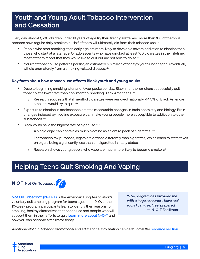## <span id="page-9-0"></span>Youth and Young Adult Tobacco Intervention **and Cessation**

Every day, almost 1,500 children under 18 years of age try their first cigarette, and more than 100 of them will become new, regular daily smokers.<sup>xii</sup> Half of them will ultimately die from their tobacco use.xlii

- People who start smoking at an early age are more likely to develop a severe addiction to nicotine than those who start at a later age. Of adolescents who have smoked at least 100 cigarettes in their lifetime, most of them report that they would like to quit but are not able to do so.<sup>xliii</sup>
- If current tobacco use patterns persist, an estimated 5.6 million of today's youth under age 18 eventually will die prematurely from a smoking-related disease.xliv

### **Key facts about how tobacco use affects Black youth and young adults**

- Despite beginning smoking later and fewer packs per day, Black menthol smokers successfully quit tobacco at a lower rate than non-menthol smoking Black Americans. xlv
	- $\circ$  Research suggests that if menthol cigarettes were removed nationally, 44.5% of Black American smokers would try to quit. xlvi
- Exposure to nicotine in adolescence creates measurable changes in brain chemistry and biology. Brain changes induced by nicotine exposure can make young people more susceptible to addiction to other substances.xlvii
- Black youth have the highest rate of cigar use. xlviii
	- $\circ$  A single cigar can contain as much nicotine as an entire pack of cigarettes.  $x$ lix
	- ⚪ For tobacco tax purposes, cigars are defined differently than cigarettes, which leads to state taxes on cigars being significantly less than on cigarettes in many states.
	- Research shows young people who vape are much more likely to become smokers.

## Helping Teens Quit Smoking And Vaping



Not On Tobacco<sup>®</sup> (N-O-T) is the American Lung Association's voluntary quit smoking program for teens ages 14 – 19. Over the 10-week program, participants learn to identify their reasons for smoking, healthy alternatives to tobacco use and people who will support them in their efforts to quit. [Learn more about N-O-T](https://www.lung.org/quit-smoking/helping-teens-quit/not-on-tobacco) and how you can become a facilitator today.

*"The program has provided me with a huge resource. I have real tools I can use. I feel prepared." —* N-O-T Facilitator

Additional Not On Tobacco promotional and educational information can be found in the [resource section](#page-17-0).

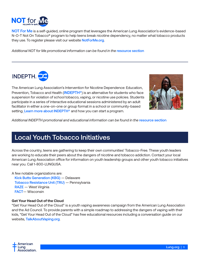<span id="page-10-0"></span>

[NOT For Me](https://notforme.org/) is a self-guided, online program that leverages the American Lung Association's evidence-based N-O-T Not On Tobacco® program to help teens break nicotine dependency, no matter what tobacco products they use. To register please visit our website **[NotForMe.org](http://NotForMe.org).** 

*Additional NOT for Me promotional information can be found in the* [resource section](#page-17-0)



The American Lung Association's Intervention for Nicotine Dependence: Education, Prevention, Tobacco and Health ([INDEPTH](https://www.lung.org/quit-smoking/helping-teens-quit/indepth)<sup>®</sup>) is an alternative for students who face suspension for violation of school tobacco, vaping, or nicotine use policies. Students participate in a series of interactive educational sessions administered by an adult facilitator in either a one-on-one or group format in a school or community-based setting. [Learn more about INDEPTH](https://www.lung.org/quit-smoking/helping-teens-quit/indepth)<sup>®</sup> and how you can start a program.



Additional INDEPTH promotional and educational information can be found in the [resource section](#page-17-0)

### Local Youth Tobacco Initiatives

Across the country, teens are gathering to keep their own communities' Tobacco-Free. These youth leaders are working to educate their peers about the dangers of nicotine and tobacco addiction. Contact your local American Lung Association office for information on youth leadership groups and other youth tobacco initiatives near you. Call 1-800-LUNGUSA.

A few notable organizations are:

[Kick Butts Generation \(KBG\)](http://kbgde.org/) — Delaware [Tobacco Resistance Unit \(TRU\)](https://truinpa.org/) — Pennsylvania [RAZE](https://www.razewv.com/) — West Virginia [FACT](https://factmovement.org/)— Wisconsin

#### **Get Your Head Out of the Cloud**

"Get Your Head Out of the Cloud" is a youth vaping awareness campaign from the American Lung Association and the Ad Council. To provide parents with a simple roadmap to addressing the dangers of vaping with their kids, "Get Your Head Out of the Cloud" has free educational resources including a conversation guide on our website, [TalkAboutVaping.org](https://www.lung.org/quit-smoking/helping-teens-quit/talk-about-vaping?utm_source=TalkAboutVaping.org&utm_medium=redirect&utm_campaign=AC_YVAP&utm_content=BRND_PSAC_EN_VanityURL).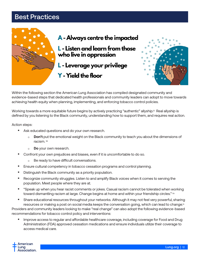## <span id="page-11-0"></span>Best Practices



Within the following section the American Lung Association has compiled designated community and evidence-based steps that dedicated health professionals and community leaders can adopt to move towards achieving health equity when planning, implementing, and enforcing tobacco control policies.

Working towards a more equitable future begins by actively practicing "authentic" allyship.<sup>[1]</sup> Real allyship is defined by you listening to the Black community, understanding how to support them, and requires real action.

Action steps:

- Ask educated questions and do your own research.
	- o **Don't** put the emotional weight on the Black community to teach you about the dimensions of racism. liii
	- ⚪ **Do** your own research.
- Confront your own prejudices and biases, even if it is uncomfortable to do so.
	- ⚪ Be ready to have difficult conversations.
- Ensure cultural competency in tobacco cessation programs and control planning.
- Distinguish the Black community as a priority population.
- Recognize community struggles. Listen to and amplify Black voices when it comes to serving the population. Meet people where they are at.
- "Speak up when you hear racist comments or jokes. Casual racism cannot be tolerated when working toward dismantling racism at large. Change begins at home and within your friendship circles." Iiv
- Share educational resources throughout your networks. Although it may not feel very powerful, sharing resources or making a post on social media keeps the conversation going, which can lead to change.<sup>[v</sup> Providers and community leaders looking to make "real change" can also adopt the following evidence-based recommendations for tobacco control policy and interventions:
	- Improve access to regular and affordable healthcare coverage, including coverage for Food and Drug Administration (FDA) approved cessation medications and ensure individuals utilize their coverage to access medical care.

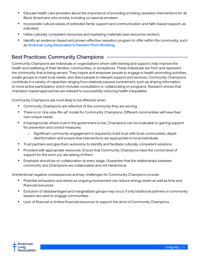- <span id="page-12-0"></span>• Educate health care providers about the importance of providing smoking cessation interventions for all Black Americans who smoke, including occasional smokers.
- Incorporate cultural values of extended family support and communication and faith-based support, as indicated.
- Utilize culturally competent resources and marketing materials (see resources section).
- Identify an evidence-based and proven-effective cessation program to offer within the community, such as [American Lung Association's Freedom From Smoking.](https://www.lung.org/quit-smoking/join-freedom-from-smoking)

### Best Practices: Community Champions

Community Champions are individuals or organizations whom with training and support, help improve the health and wellbeing of their families, communities, or workplaces. These individuals are from and represent the community that is being served. They inspire and empower people to engage in health promoting activities, create groups to meet local needs, and direct people to relevant support and services. Community Champions contribute in a variety of capacities ranging from relatively passive involvement, such as sharing information to more active participation which includes consultation or collaborating on programs. Research shows that champion-based approaches are relevant to successfully reducing health inequalities.

Community Champions are most likely to be effective when:

- Community Champions are reflective of the community they are serving.
- There is no 'one-size-fits-all' model for Community Champions. Different communities will have their own unique needs.
- In backgrounds where trust in the government is low, Champions can be invaluable to gaining support for prevention and control measures.
	- ⚪ Significant community engagement is required to build trust with local communities, dispel disinformation and ensure that interventions are appropriate to local individuals.
- Trust partners and give them autonomy to identify and facilitate culturally competent solutions.
- Provided with appropriate resources. Ensure that Community Champions have the correct level of support for the work you are asking of them.
- Emphasis should be on collaboration at every stage. Guarantee that the relationships between community and Champions are collaborative and not hierarchical.

Unintentional negative consequences and key challenges for Community Champions include:

- Potential exhaustion and stress as ongoing involvement can reduce energy levels as well as time and financial resources.
- Exclusion of disadvantaged and marginalized groups may occur if only traditional partners or community leaders are used to engage communities.
- Lack of financial or limited financial resources to support the aims of Community Champions.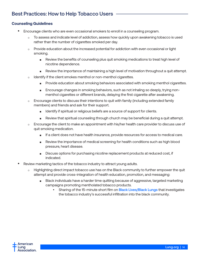### <span id="page-13-0"></span>Best Practices: How to Help Tobacco Users

### **Counseling Guidelines**

- Encourage clients who are even occasional smokers to enroll in a counseling program.
	- ⚪ To assess and indicate level of addiction, assess how quickly upon awakening tobacco is used rather than the number of cigarettes smoked per day.
	- o Provide education about the increased potential for addiction with even occasional or light smoking.
		- Review the benefits of counseling plus quit smoking medications to treat high level of nicotine dependence.
		- Review the importance of maintaining a high level of motivation throughout a quit attempt.
	- o Identify if the client smokes menthol or non-menthol cigarettes.
		- Provide education about smoking behaviors associated with smoking menthol cigarettes.
		- Encourage changes in smoking behaviors, such as not inhaling so deeply, trying nonmenthol cigarettes or different brands, delaying the first cigarette after awakening.
	- o Encourage clients to discuss their intentions to quit with family (including extended family members) and friends and ask for their support.
		- Identify if spiritual or religious beliefs are a source of support for clients.
		- Review that spiritual counseling through church may be beneficial during a quit attempt.
	- ⚪ Encourage the client to make an appointment with his/her health care provider to discuss use of quit smoking medication.
		- If a client does not have health insurance, provide resources for access to medical care.
		- Review the importance of medical screening for health conditions such as high blood pressure, heart disease.
		- Discuss options for purchasing nicotine replacement products at reduced cost, if indicated.
- Review marketing tactics of the tobacco industry to attract young adults.
	- o Highlighting direct impact tobacco use has on the Black community to further empower the quit attempt and provide cross-integration of health education, promotion, and messaging:
		- Black individuals have a harder time quitting because of aggressive, targeted marketing campaigns promoting mentholated tobacco products.
			- Sharing of the 15-minute short film on [Black Lives/Black Lungs](https://www.youtube.com/watch?v=Eeg5BNx--uQ) that investigates the tobacco industry's successful infiltration into the black community.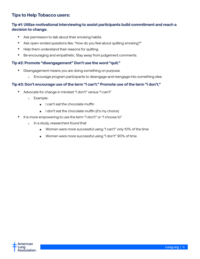### **Tips to Help Tobacco users:**

### **Tip #1: Utilize motivational interviewing to assist participants build commitment and reach a decision to change.**

- Ask permission to talk about their smoking habits.
- Ask open-ended questions like, "How do you feel about quitting smoking?"
- Help them understand their reasons for quitting.
- Be encouraging and empathetic. Stay away from judgement comments.

#### **Tip #2: Promote "disengagement" Don't use the word "quit."**

- Disengagement means you are doing something on purpose.
	- Encourage program participants to disengage and reengage into something else.

### **Tip #3: Don't encourage use of the term "I can't." Promote use of the term "I don't."**

- Advocate for change in mindset "I don't" versus "I can't"
	- ⚪ Example:
		- I can't eat the chocolate muffin
		- I don't eat the chocolate muffin (it's my choice)
- It is more empowering to use the term "I don't" or "I choose to"
	- o In a study, researchers found that
		- Women were more successful using "I can't" only 10% of the time
		- ◾ Women were more successful using "I don't" 90% of time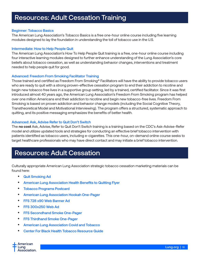## <span id="page-15-0"></span>Resources: Adult Cessation Training

#### Beginner: [Tobacco Basics](https://lung.training/courses/tobacco-basics.html)

The American Lung Association's Tobacco Basics is a free one-hour online course including five learning modules designed to lay the foundation in understanding the toll of tobacco use in the U.S.

#### Intermediate: [How to Help People Quit](https://lung.training/courses/how-to-help-people-quit.html)

The American Lung Association's How To Help People Quit training is a free, one-hour online course including four interactive learning modules designed to further enhance understanding of the Lung Association's core beliefs about tobacco cessation, as well as understanding behavior changes, interventions and treatment needed to help people quit for good.

#### Advanced: [Freedom From Smoking Facilitator Training](https://www.lung.org/quit-smoking/join-freedom-from-smoking/become-a-facilitator?state=&category=FFSFacilitatorTraining)

Those trained and certified as Freedom From Smoking® Facilitators will have the ability to provide tobacco users who are ready to quit with a strong proven-effective cessation program to end their addiction to nicotine and begin new tobacco free lives in a supportive group setting, led by a trained, certified facilitator. Since it was first introduced almost 40 years ago, the American Lung Association's Freedom From Smoking program has helped over one million Americans end their addiction to nicotine and begin new tobacco-free lives. Freedom From Smoking is based on proven addiction and behavior change models (including the Social Cognitive Theory, Transtheoretical Model and Motivational Interviewing). The program offers a structured, systematic approach to quitting, and its positive messaging emphasizes the benefits of better health.

#### Advanced: [Ask, Advise Refer to Quit Don't Switch](https://lung.training/courses/ask-advise-refer-to-quit-dont-switch.html)

The **no cost** Ask, Advise, Refer to Quit Don't Switch training is a training based on the CDC's Ask-Advise-Refer model and utilizes updated tools and strategies for conducting an effective brief tobacco intervention with patients identified as tobacco users, including e-cigarettes. This one-hour, on-demand online course seeks to target healthcare professionals who may have direct contact and may initiate a brief tobacco intervention.

### Resources: Adult Cessation

Culturally appropriate American Lung Association strategic tobacco cessation marketing materials can be found here:

- [Quit Smoking Ad](https://drive.google.com/file/d/1XzEhzT8DItaNxyAMM6PcNPBDUhlAGna8/view?usp=sharing)
- [American Lung Association Health Benefits to Quitting Flyer](https://drive.google.com/file/d/1qHA2N7uOJdIRxXXBznAoQ6RLF9rO-KCd/view?usp=sharing)
- [Tobacco Programs Postcard](https://drive.google.com/file/d/1fD_FphhQzgPtAiDdSDQ1N1Bvfuy9MkOs/view?usp=sharing)
- [American Lung Association Hookah One-](https://drive.google.com/file/d/1a89lS1HrbxhRm4dMEiIBlT5-Z34BJiiT/view?usp=sharing)Pager
- [FFS 728 x90 Web Banner Ad](https://drive.google.com/file/d/1LmYcLaanVVEpIn8-v8ROKBbIiQ6UNg1i/view?usp=sharing)
- [FFS 300x250 Web Ad](https://drive.google.com/file/d/1SHZ-BPtq8aQzWLVSH06NRkT2mLM9uQBo/view?usp=sharing)
- [FFS Secondhand Smoke One-Pager](https://drive.google.com/file/d/1hRyVcef4gyP5eqRPLSYS77haVlj0i9I_/view?usp=sharing)
- [FFS Thirdhand Smoke One-Pager](https://drive.google.com/file/d/1SdILb2DzeedfMNbqU6qCCpTLdZ3hLH02/view?usp=sharing)
- [American Lung Association Covid and Tob](https://drive.google.com/file/d/1uUJk5eSafdWEGpnfq_EBSfeOWp85Ea4E/view?usp=sharing)acco
- [Center For Black Health Tobacco Resource Guide](https://centerforblackhealth.org/tobacco-resources/)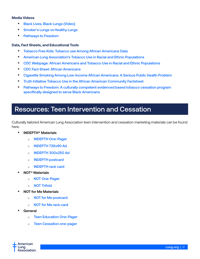#### <span id="page-16-0"></span>**Media Videos**

- [Black Lives, Black Lungs {Video}](https://www.youtube.com/watch?v=Eeg5BNx--uQ)
- [Smoker's Lungs vs Healthy Lungs](https://www.youtube.com/watch?v=69R0E_Rg_mQ)
- [Pathways to Freedom](https://youtu.be/Ut5yRoJ5tKo)

### **Data, Fact Sheets, and Educational Tools**

- [Tobacco Free Kids: Tobacco use Among African Americans Data](https://www.tobaccofreekids.org/assets/factsheets/0006.pdf)
- [American Lung Association's Tobacco Use in Racial and Ethnic Populations](http://www.lung.org/stop-smoking/smoking-facts/tobacco-use-racial-and-ethnic.html)
- [CDC Webpage: African Americans and Tobacco Use in Racial and Ethnic Populations](https://www.cdc.gov/tobacco/disparities/african-americans/index.htm)
- [CDC Fact Sheet: African Americans](https://www.cdc.gov/tobacco/campaign/tips/groups/african-american.html)
- [Cigarette Smoking Among Low-Income African Americans: A Serious Public Health Problem](https://www.ncbi.nlm.nih.gov/pmc/articles/PMC1817892/)
- [Truth Initiative Tobacco Use in the African American Community Factsheet](https://truthinitiative.org/research-resources/targeted-communities/tobacco-use-african-american-community)
- [Pathways to Freedom: A culturally competent evidenced based tobacco cessation program](https://www.cdc.gov/tobacco/quit_smoking/how_to_quit/pathways/pdfs/pathways.pdf)  [specifically designed to serve Black Americans](https://www.cdc.gov/tobacco/quit_smoking/how_to_quit/pathways/pdfs/pathways.pdf).

## Resources: Teen Intervention and Cessation

Culturally tailored American Lung Association teen intervention and cessation marketing materials can be found here.

- **INDEPTH® Materials**
	- o **[INDEPTH One-Pager](https://drive.google.com/file/d/1SpHElna_k28QYU7UMo580isR3sU8pi4p/view?usp=sharing)**
	- ⚪ [INDEPTH 728x90 Ad](https://drive.google.com/file/d/1j0xEl8E8KQSFVr4qw2xBzOzqF-50WdmN/view?usp=sharing)
	- ⚪ [INDEPTH 300x250 Ad](https://drive.google.com/file/d/17hRUAvgSgPM4DeOXTV23FXjucX8sm-Zw/view?usp=sharing)
	- ⚪ [INDEPTH postcard](https://drive.google.com/file/d/1p6Jf6Zwv-X8OWxrwUm1SGFYWmph0WpSK/view?usp=sharing)
	- ⚪ [INDEPTH rack card](https://drive.google.com/file/d/1m9FFE00pnS0pYJmodheoYZLrBqBjjmEJ/view?usp=sharing)
- **NOT® Materials**
	- ⚪ [NOT One-Pager](https://drive.google.com/file/d/1JrP3SuiSI_Cc389CqNw8H7Z50I0UeWu8/view?usp=sharing)
	- ⚪ [NOT Trifold](https://drive.google.com/file/d/1VSXzKIRqUU4vpYqhOtj-rx3syhUAZ52n/view?usp=sharing)
- **NOT for Me Materials**
	- ⚪ [NOT for Me postcard](https://drive.google.com/file/d/1fTM_Ai-CideO2Bu8VG4aiurhGzdCQ8ub/view?usp=sharing)
	- o [NOT for Me rack card](https://drive.google.com/file/d/1ARChoa8jD677qWxkpTS_D5jOZsdDiDlX/view?usp=sharing)
- **General**
	- ⚪ [Teen Education One-Pager](https://drive.google.com/file/d/1dcJDd8ILfNIA_bMT6CHa4XVGHEzrqQcB/view?usp=sharing)
	- ⚪ [Teen Cessation one-pager](https://drive.google.com/file/d/14WCzTKMEb-6cbvzZ9tbJo43qzdEk1vJW/view?usp=sharing)

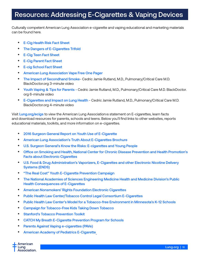## <span id="page-17-0"></span>Resources: Addressing E-Cigarettes & Vaping Devices

Culturally competent American Lung Association e-cigarette and vaping educational and marketing materials can be found here.

- [E-Cig Health Risk Fact Sheet](https://drive.google.com/file/d/1qqUZr-2S8N4EXqe3neYgMjtxpd5TgPnN/view?usp=sharing)
- **[The Dangers of E-Cigarettes Trifold](https://drive.google.com/file/d/1Bn2TuEDSOQSrImtYKX8Zrfj7rxK7zior/view?usp=sharing)**
- [E-Cig Teen Fact Sheet](https://drive.google.com/file/d/1iwUgyaVmDlYUMBOiDknNN0XMXtOLy5fk/view?usp=sharing)
- [E-Cig Parent Fact Sheet](https://drive.google.com/file/d/18vaqiXuCBLoxYKZ0V96it0O92S5-4VIk/view?usp=sharing)
- [E-cig School Fact Sheet](https://drive.google.com/file/d/1dHPlhrWZKQIhKJUaM9IlPM5461WKiAdQ/view?usp=sharing)
- [American Lung Association Vape Free One Pag](https://drive.google.com/file/d/1IkS_IhYMoMLG8kvzlSo8oMEcuDjd9HW7/view?usp=sharing)er
- [The Impact of Secondhand Smoke](https://drive.google.com/file/d/18iAgXl6MSkT81wj6KYcWZ0-JYCv3SvNk/view?usp=sharing) Cedric Jamie Rutland, M.D., Pulmonary/Critical Care M.D. BlackDoctor.org 3-minute video
- [Youth Vaping & Tips for Parents](https://drive.google.com/file/d/13aule9mhrB7vtJulO4iL3IWK9Yoq7IlR/view?usp=sharing)  Cedric Jamie Rutland, M.D., Pulmonary/Critical Care M.D. BlackDoctor. org 6-minute video
- [E-Cigarettes and Impact on Lung Health](https://drive.google.com/file/d/183k2iuCQwJRqe8HYQ7y5vsAT1Cg_gLjr/view?usp=sharing) Cedric Jamie Rutland, M.D., Pulmonary/Critical Care M.D. BlackDoctor.org 4-minute video

Visit [Lung.org/ecigs](https://www.lung.org/quit-smoking/e-cigarettes-vaping/lung-health) to view the American Lung Association is statement on E-cigarettes, learn facts and download resources for parents, schools and teens. Below you'll find links to other websites, reports educational materials, toolkits, and more information on e-cigarettes.

- [2016 Surgeon General Report on Youth Use of E-Cigarette](https://www.cdc.gov/tobacco/data_statistics/sgr/e-cigarettes/pdfs/2016_sgr_entire_report_508.pdf)
- [American Lung Association's Truth About E-Cigarettes Brochure](https://action.lung.org/site/Ecommerce/502567021?VIEW_PRODUCT=true&product_id=7486&store_id=34280&FOLDER=4106)
- [U.S. Surgeon General's Know the Risks: E-cigarettes and Young People](https://e-cigarettes.surgeongeneral.gov/)
- [Office on Smoking and Health, National Center for Chronic Disease Prevention and Health Promotion's](https://www.cdc.gov/tobacco/basic_information/e-cigarettes/)  [Facts about Electronic Cigarettes](https://www.cdc.gov/tobacco/basic_information/e-cigarettes/)
- [U.S. Food & Drug Administration's Vaporizers, E-Cigarettes and other Electronic Nicotine Delivery](https://www.fda.gov/tobaccoproducts/labeling/productsingredientscomponents/ucm456610.htm)  [Systems \(ENDS\)](https://www.fda.gov/tobaccoproducts/labeling/productsingredientscomponents/ucm456610.htm)
- ["The Real Cost" Youth E-Cigarette Prevention Campaign](https://www.fda.gov/TobaccoProducts/PublicHealthEducation/PublicEducationCampaigns/TheRealCostCampaign/)
- [The National Academies of Sciences Engineering Medicine Health and Medicine Division's Public](http://nationalacademies.org/hmd/Reports/2018/public-health-consequences-of-e-cigarettes.aspx)  [Health Consequences of E-Cigarettes](http://nationalacademies.org/hmd/Reports/2018/public-health-consequences-of-e-cigarettes.aspx)
- [American Nonsmokers' Rights Foundation Electronic Cigarettes](https://no-smoke.org/smokefree-threats/electronic-cigarettes/)
- [Public Health Law Center/Tobacco Control Legal Consortium E-Cigarettes](http://publichealthlawcenter.org/topics/tobacco-control/e-cigarettes)
- [Public Health Law Center's Model for a Tobacco-free Environment in Minnesota's K-12 Schools](https://publichealthlawcenter.org/sites/default/files/resources/Addressing-Student-Commercial-Tobacco-Use-in-Schools-Alternative-Measures-2019-0.pdf)
- [Campaign for Tobacco-Free Kids Taking Down Tobacco](http://takingdowntobacco.org/)
- [Stanford's Tobacco Prevention Toolkit](http://med.stanford.edu/tobaccopreventiontoolkit.html)
- [CATCH My Breath E-Cigarette Prevention Program for Schools](https://catchinfo.org/modules/e-cigarettes/)
- [Parents Against Vaping](https://www.parentsagainstvaping.org/) e-cigarettes (PAVe)
- [American Academy of Pediatrics E-Cigarette](https://www.aap.org/en/patient-care/tobacco-control-and-prevention/e-cigarettes-and-vaping/)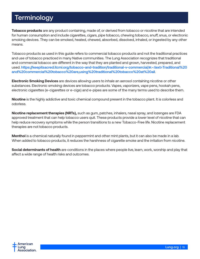## <span id="page-18-0"></span>**Terminology**

**Tobacco products** are any product containing, made of, or derived from tobacco or nicotine that are intended for human consumption and include cigarettes, cigars, pipe tobacco, chewing tobacco, snuff, snus, or electronic smoking devices. They can be smoked, heated, chewed, absorbed, dissolved, inhaled, or ingested by any other means.

Tobacco products as used in this guide refers to commercial tobacco products and not the traditional practices and use of tobacco practiced in many Native communities. The Lung Association recognizes that traditional and commercial tobacco are different in the way that they are planted and grown, harvested, prepared, and used. [https://keepitsacred.itcmi.org/tobacco-and-tradition/traditional-v-commercial/#:~:text=Traditional%20](https://keepitsacred.itcmi.org/tobacco-and-tradition/traditional-v-commercial/#:~:text=Traditional%20and%20commercial%20tobacco%20are,using%20traditional%20tobacco%20at%20all) [and%20commercial%20tobacco%20are,using%20traditional%20tobacco%20at%20all](https://keepitsacred.itcmi.org/tobacco-and-tradition/traditional-v-commercial/#:~:text=Traditional%20and%20commercial%20tobacco%20are,using%20traditional%20tobacco%20at%20all).

**Electronic Smoking Devices** are devices allowing users to inhale an aerosol containing nicotine or other substances. Electronic smoking devices are tobacco products. Vapes, vaporizers, vape pens, hookah pens, electronic cigarettes (e-cigarettes or e-cigs) and e-pipes are some of the many terms used to describe them.

**Nicotine** is the highly addictive and toxic chemical compound present in the tobacco plant. It is colorless and odorless.

**Nicotine replacement therapies (NRTs),** such as gum, patches, inhalers, nasal spray, and lozenges are FDA approved treatment that can help tobacco users quit. These products provide a lower level of nicotine that can help reduce recovery symptoms while the person transitions to a new Tobacco-Free life. Nicotine replacement therapies are not tobacco products.

**Menthol** is a chemical naturally found in peppermint and other mint plants, but it can also be made in a lab. When added to tobacco products, it reduces the harshness of cigarette smoke and the irritation from nicotine.

**Social determinants of health** are conditions in the places where people live, learn, work, worship and play that affect a wide range of health risks and outcomes.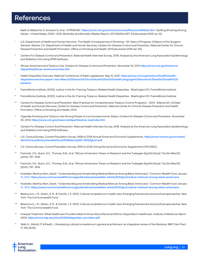## <span id="page-19-0"></span>References

- Babb S, Malarcher A, Schauer G, et al. HYPERLINK "<https://www.cdc.gov/mmwr/volumes/65/wr/mm6552a1.htm>" Quitting Smoking Among Adults—United States, 2000–2015. Morbidity and Mortality Weekly Report, 2017;65(52):1457-64 [accessed 2018 Jun 12][.](https://centerforblackhealth.org/tobacco/#:~:text=Seventy%2Dfour%20percent%20of%20African,to%20a%20n)
- $\,$  U.S. Department of Health and Human Services. The Health Consequences of Smoking—50 Years of Progress: A Report of the Surgeon General. Atlanta: U.S. Department of Health and Human Services, Centers for Disease Control and Prevention, National Center for Chronic Disease Prevention and Health Promotion, Office on Smoking and Health, 2014 [accessed 2019 Jan 30].
- III. Centers For Disease Control and Prevention. National Health Interview Survey, 2018. Analysis by the American Lung Association Epidemiology and Statistics Unit Using SPSS Software.
- iv. African Americans and Tobacco Use. Centers for Disease Control and Prevention. November 16, 2021 [https://www.cdc.gov/tobacco/](https://www.cdc.gov/tobacco/disparities/african-americans/index.htm) [disparities/african-americans/index.htm](https://www.cdc.gov/tobacco/disparities/african-americans/index.htm)
- Health Disparities Overview. National Conference of State Legislatures. May 10, 2021. [https://www.ncsl.org/research/health/health](https://www.ncsl.org/research/health/health-disparitiesoverview.aspx#:~:text=Many%20factors%20contri)[disparitiesoverview.aspx#:~:text=Many%20factors%20contribute%20to%20health,language%20barriers%20and%20health%20](https://www.ncsl.org/research/health/health-disparitiesoverview.aspx#:~:text=Many%20factors%20contri) [behavior](https://www.ncsl.org/research/health/health-disparitiesoverview.aspx#:~:text=Many%20factors%20contri)
- vi. FrameWorks Institute. (2020). Justice in the Air: Framing Tobacco-Related Health Disparities. Washington DC: FrameWorks Institute.
- vii. FrameWorks Institute. (2020). Justice in the Air: Framing Tobacco-Related Health Disparities. Washington DC: FrameWorks Institute.
- viii. Centers for Disease Control and Prevention. Best Practices for Comprehensive Tobacco Control Programs 2014. Atlanta GA: US Dept of Health and Human Services, Center for Disease Control and Prevention, National Center for Chronic Disease Prevention and Health Promotion, Office on Smoking and Health; 2014.
- ix. Cigarette Smoking and Tobacco Use Among People of Low Socioeconomic Status. Centers for Disease Control and Prevention. November 25, 2019. <https://www.cdc.gov/tobacco/disparities/low-ses/index.htm>
- <sup>x.</sup> Centers For Disease Control And Prevention. National Health Interview Survey, 2018. Analysis by the American Lung Association Epidemiology and Statistics Unit Using SPSS Software.
- xi. U.S. Census Bureau, Current Population Survey, 1968 to 2018 Annual Social and Economic Supplements. [https://www.census.gov/content/](https://www.census.gov/content/dam/Census/library/visualizations/2018/demo/p60-263/figure1.pdf) [dam/Census/library/visualizations/2018/demo/p60-263/figure1.pdf](https://www.census.gov/content/dam/Census/library/visualizations/2018/demo/p60-263/figure1.pdf)
- xii. U.S. Census Bureau, Current Population Survey, 1960 to 2020 Annual Social and Economic Supplement (CPS ASEC).
- xiii. Freimuth, V.S., Quinn, S.C., Thomas, S.B., et al. "African Americans' Views on Research and the Tuskegee Syphilis Study," SocSci Med 52 (2001): 797- 808.
- xiv. Freimuth, V.S., Quinn, S.C., Thomas, S.B., et al. "African Americans' Views on Research and the Tuskegee Syphilis Study," SocSci Med 52 (2001): 797- 808.
- xv. Hostetter, Martha; Klein, Sarah. "Understanding and Ameliorating Medical Mistrust Among Black Americans." Common Wealth Fund. January 14, 2021. <https://www.commonwealthfund.org/publications/newsletter-article/2021/jan/medical-mistrust-among-black-americans>
- xvi. Hostetter, Martha; Klein, Sarah. "Understanding and Ameliorating Medical Mistrust Among Black Americans." Common Wealth Fund. January 14, 2021. <https://www.commonwealthfund.org/publications/newsletter-article/2021/jan/medical-mistrust-among-black-americans>
- Betancourt, J. R., Green, A. R., & Carrillo, J. E. 2002. Cultural competence in health care: Emerging frameworks and practical approaches. New York: The Commonwealth Fund.
- Betancourt, J. R., Green, A. R., & Carrillo, J. E. 2002. Cultural competence in health care: Emerging frameworks and practical approaches. New York: The Commonwealth Fund.
- xix. Unequal Treatment: What Healthcare Providers Need to Know About Racial and Ethnic Disparities in Healthcare. Institute of Medicine. March 2002. [https://www.nap.edu/html/10260/disparities\\_providers.pdf](https://www.nap.edu/html/10260/disparities_providers.pdf)
- xx. Watt, K., Abbott, P. & Reath, J. Developing cultural competence in general practitioners: an integrative review of the literature. BMC Fam Pract 17, 158 (2016).

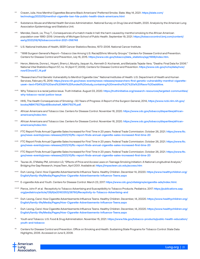- <sup>xxi.</sup> Craven, Julia. How Menthol Cigarettes Became Black Americans' Preferred Smoke. Slate. May 14, 2021. [https://slate.com/](https://slate.com/technology/2021/05/menthol-cigarette-ban-fda-public-health-black-americans.html) [technology/2021/05/menthol-cigarette-ban-fda-public-health-black-americans.html](https://slate.com/technology/2021/05/menthol-cigarette-ban-fda-public-health-black-americans.html)
- Substance Abuse and Mental Health Services Administration. National Survey on Drug Use and Health, 2020. Analysis by the American Lung Association Epidemiology and Statistics Unit.
- xxiii. Mendez, David., Le, Thuy T., Consequences of a match made in hell: the harm caused by menthol smoking to the African American population over 1980-2019. University of Michigan School of Public Health. September 19, 2021. [https://tobaccocontrol.bmj.com/content/](https://tobaccocontrol.bmj.com/content/early/2021/09/16/tobaccocontrol-2021-056748) [early/2021/09/16/tobaccocontrol-2021-056748](https://tobaccocontrol.bmj.com/content/early/2021/09/16/tobaccocontrol-2021-056748)
- xxiv. U.S. National Institutes of Health, SEER Cancer Statistics Review, 1973-2006. National Cancer Institute.
- xxv. "1998 Surgeon General's Report—Tobacco Use Among U.S. Racial/Ethnic Minority Groups." Centers for Disease Control and Prevention. Centers for Disease Control and Prevention, July 16, 2015. [https://www.cdc.gov/tobacco/data\\_statistics/sgr/1998/index.htm](https://www.cdc.gov/tobacco/data_statistics/sgr/1998/index.htm).
- xxvi. Heron, Melonie, Donna L. Hoyert, Sherry L Murphy, Jiaquan Xu, Kenneth D. Kochanek, and Betzaida Tejada-Vera. "Deaths: Final Data for 2006." National Vital Statistics Report 57, no. 14 (April 17, 2009). Centers for Disease Control and Prevention. [https://www.cdc.gov/nchs/data/nvsr/](https://www.cdc.gov/nchs/data/nvsr/nvsr57/nvsr57_14.pdf) [nvsr57/nvsr57\\_14.pdf](https://www.cdc.gov/nchs/data/nvsr/nvsr57/nvsr57_14.pdf)
- "Researchers Find Genetic Vulnerability to Menthol Cigarette Use." National Institutes of Health. U.S. Department of Health and Human Services, February 15, 2019. [https://www.nih.gov/news-events/news-releases/researchers-find-genetic-vulnerability-menthol-cigarette](https://www.nih.gov/news-events/news-releases/researchers-find-genetic-vulnerability-menthol-cigarette-use#:~:text=FDA%2D%20and%20NIH%2Dfunded%20study,containing%20menthol%2C%20a%20flavor%20additive)[use#:~:text=FDA%2D%20and%20NIH%2Dfunded%20study,containing%20menthol%2C%20a%20flavor%20additive](https://www.nih.gov/news-events/news-releases/researchers-find-genetic-vulnerability-menthol-cigarette-use#:~:text=FDA%2D%20and%20NIH%2Dfunded%20study,containing%20menthol%2C%20a%20flavor%20additive).
- Why Tobacco is a racial justice issue. Truth Initiative. August 03, 2020. [https://truthinitiative.org/research-resources/targeted-communities/](https://truthinitiative.org/research-resources/targeted-communities/why-tobacco-racial-justice-issue) [why-tobacco-racial-justice-issue](https://truthinitiative.org/research-resources/targeted-communities/why-tobacco-racial-justice-issue)
- xxix. HHS, The Health Consequences of Smoking—50 Years of Progress: A Report of the Surgeon General, 2014, https://www.ncbi.nlm.nih.gov/ books/NBK179276/pdf/Bookshelf\_NBK179276.pdf.
- xxx. African Americans and Tobacco Use. Centers for Disease Control. November 16, 2020. [https://www.cdc.gov/tobacco/disparities/african](https://www.cdc.gov/tobacco/disparities/african-americans/index.htm)[americans/index.htm](https://www.cdc.gov/tobacco/disparities/african-americans/index.htm)
- xxxi. African Americans and Tobacco Use. Centers for Disease Control. November 16, 2020. [https://www.cdc.gov/tobacco/disparities/african](https://www.cdc.gov/tobacco/disparities/african-americans/index.htm)[americans/index.htm](https://www.cdc.gov/tobacco/disparities/african-americans/index.htm)
- FTC Report Finds Annual Cigarette Sales Increased for First Time in 20 years. Federal Trade Commission. October 26, 2021. [https://www.ftc.](https://www.ftc.gov/news-events/press-releases/2021/10/ftc-report-finds-annual-cigarette-sales-incre) [gov/news-events/press-releases/2021/10/ftc-report-finds-annual-cigarette-sales-increased-first-time-20](https://www.ftc.gov/news-events/press-releases/2021/10/ftc-report-finds-annual-cigarette-sales-incre)
- xxxiii. FTC Report Finds Annual Cigarette Sales Increased for First Time in 20 years. Federal Trade Commission. October 26, 2021. https://www.ftc. gov/news-events/press-releases/2021/10/ftc-report-finds-annual-cigarette-sales-increased-first-time-20
- xxxiv. FTC Report Finds Annual Cigarette Sales Increased for First Time in 20 years. Federal Trade Commission. October 26, 2021. [https://www.ftc.](https://www.ftc.gov/news-events/press-releases/2021/10/ftc-report-finds-annual-cigarette-sales-incre) [gov/news-events/press-releases/2021/10/ftc-report-finds-annual-cigarette-sales-increased-first-time-20](https://www.ftc.gov/news-events/press-releases/2021/10/ftc-report-finds-annual-cigarette-sales-incre)
- xxxv. Tauras JA, O'Malley PM, Johnston LD, "Effects of Price and Access Laws on Teenage Smoking Initiation: A National Longitudinal Analysis," Bridging the Gap Research, ImpacTeen, April 2001. Available at: <https://impacteen.uic.edu/access.htm>
- xxxxi. Duh-Leong, Carol. How Cigarette Advertisements Influence Teens. Healthy Children. December 14, 20220. [https://www.healthychildren.org/](https://www.healthychildren.org/English/family-life/Media/Pages/How-Cigarette-Advertisements-Influence-Teens.aspx
) [English/family-life/Media/Pages/How-Cigarette-Advertisements-Influence-Teens.aspx](https://www.healthychildren.org/English/family-life/Media/Pages/How-Cigarette-Advertisements-Influence-Teens.aspx
)
- xxxvii. E-cigarette Ads and Youth. Centers for Disease Control. March 23, 2017. <https://www.cdc.gov/vitalsigns/ecigarette-ads/index.html>.
- xxxviii. Pierce, John P. et al. Receptivity to Tobacco Advertising and Susceptibility to Tobacco Products. Pediatrics. 2017. [https://publications.aap.](https://publications.aap.org/pediatrics/article/139/6/e20163353/38760/Receptivity-to-Tobacco-Adverti) [org/pediatrics/article/139/6/e20163353/38760/Receptivity-to-Tobacco-Advertising-and](https://publications.aap.org/pediatrics/article/139/6/e20163353/38760/Receptivity-to-Tobacco-Adverti)
- xxxix. Duh-Leong, Carol. How Cigarette Advertisements Influence Teens. Healthy Children. December, 14, 20220. [https://www.healthychildren.org/](https://www.healthychildren.org/English/family-life/Media/Pages/How-Cigarette-Advertisements-Influence-Teens.aspx
) [English/family-life/Media/Pages/How-Cigarette-Advertisements-Influence-Teens.aspx](https://www.healthychildren.org/English/family-life/Media/Pages/How-Cigarette-Advertisements-Influence-Teens.aspx
)
- xi. Duh-Leong, Carol. How Cigarette Advertisements Influence Teens. Healthy Children. December, 14, 20220. [https://www.healthychildren.org/](https://www.healthychildren.org/English/family-life/Media/Pages/How-Cigarette-Advertisements-Influence-Teens.aspx) [English/family-life/Media/Pages/How-Cigarette-Advertisements-Influence-Teens.aspx](https://www.healthychildren.org/English/family-life/Media/Pages/How-Cigarette-Advertisements-Influence-Teens.aspx)
- xii. Youth and Tobacco. U.S. Food & Drug Administration. November 15, 2021. [https://www.fda.gov/tobacco-products/public-health-education/](https://www.fda.gov/tobacco-products/public-health-education/youth-and-tobacco) [youth-and-tobacco](https://www.fda.gov/tobacco-products/public-health-education/youth-and-tobacco)
- xii. Centers for Disease Control and Prevention. Office on Smoking and Health. Sustaining State Programs for Tobacco Control: State Data Highlights, 2006. Accessed on June 9, 2008.